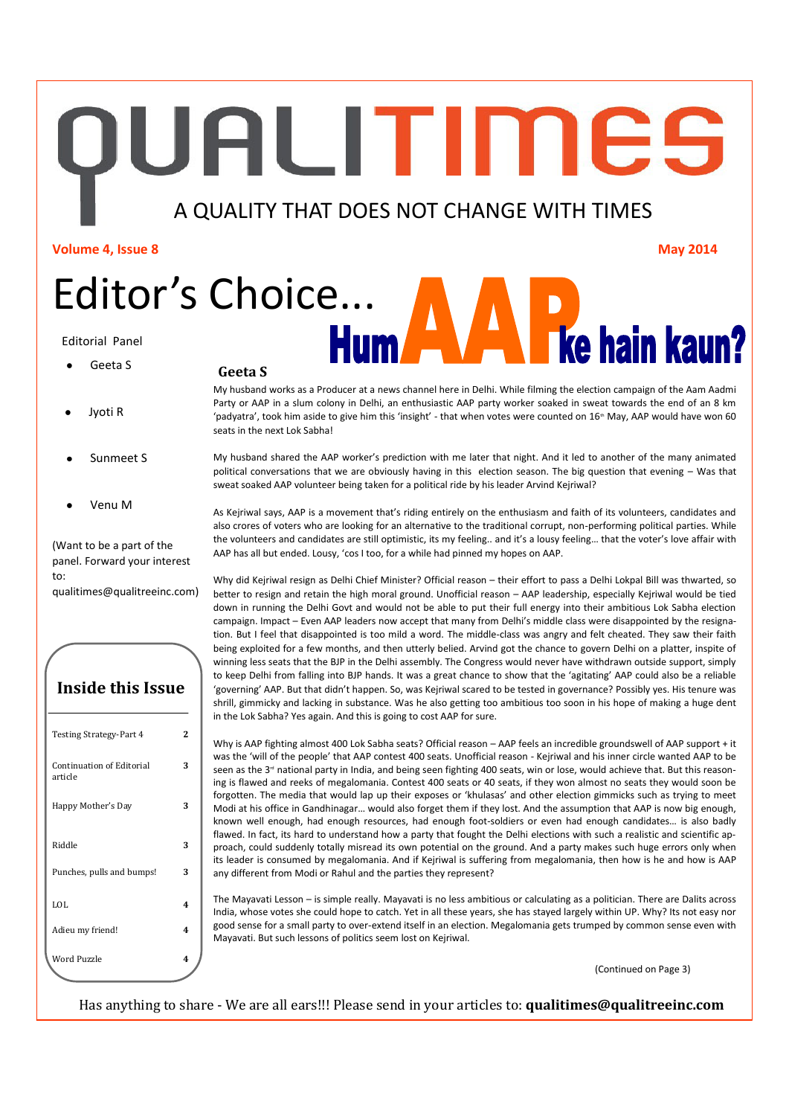**IUALITIMES** 

## A QUALITY THAT DOES NOT CHANGE WITH TIMES

**Volume 4, Issue 8 May 2014**

Editor's Choice...

### Editorial Panel

- Geeta S
- Jyoti R
- Sunmeet S
- Venu M

(Want to be a part of the panel. Forward your interest to:

qualitimes@qualitreeinc.com)

**Inside this Issue**

## Testing Strategy-Part 4 **2** Continuation of Editorial article **3** Happy Mother's Day **3** Riddle **3** Punches, pulls and bumps! **3** LOL **4** Adieu my friend! **4** Word Puzzle **4**

### **Geeta S**

My husband works as a Producer at a news channel here in Delhi. While filming the election campaign of the Aam Aadmi Party or AAP in a slum colony in Delhi, an enthusiastic AAP party worker soaked in sweat towards the end of an 8 km 'padyatra', took him aside to give him this 'insight' - that when votes were counted on  $16<sup>m</sup>$  May, AAP would have won 60 seats in the next Lok Sabha!

My husband shared the AAP worker's prediction with me later that night. And it led to another of the many animated political conversations that we are obviously having in this election season. The big question that evening – Was that sweat soaked AAP volunteer being taken for a political ride by his leader Arvind Kejriwal?

As Kejriwal says, AAP is a movement that's riding entirely on the enthusiasm and faith of its volunteers, candidates and also crores of voters who are looking for an alternative to the traditional corrupt, non-performing political parties. While the volunteers and candidates are still optimistic, its my feeling.. and it's a lousy feeling… that the voter's love affair with AAP has all but ended. Lousy, 'cos I too, for a while had pinned my hopes on AAP.

Why did Kejriwal resign as Delhi Chief Minister? Official reason – their effort to pass a Delhi Lokpal Bill was thwarted, so better to resign and retain the high moral ground. Unofficial reason – AAP leadership, especially Kejriwal would be tied down in running the Delhi Govt and would not be able to put their full energy into their ambitious Lok Sabha election campaign. Impact – Even AAP leaders now accept that many from Delhi's middle class were disappointed by the resignation. But I feel that disappointed is too mild a word. The middle-class was angry and felt cheated. They saw their faith being exploited for a few months, and then utterly belied. Arvind got the chance to govern Delhi on a platter, inspite of winning less seats that the BJP in the Delhi assembly. The Congress would never have withdrawn outside support, simply to keep Delhi from falling into BJP hands. It was a great chance to show that the 'agitating' AAP could also be a reliable 'governing' AAP. But that didn't happen. So, was Kejriwal scared to be tested in governance? Possibly yes. His tenure was shrill, gimmicky and lacking in substance. Was he also getting too ambitious too soon in his hope of making a huge dent in the Lok Sabha? Yes again. And this is going to cost AAP for sure.

Why is AAP fighting almost 400 Lok Sabha seats? Official reason – AAP feels an incredible groundswell of AAP support + it was the 'will of the people' that AAP contest 400 seats. Unofficial reason - Kejriwal and his inner circle wanted AAP to be seen as the 3<sup>rd</sup> national party in India, and being seen fighting 400 seats, win or lose, would achieve that. But this reasoning is flawed and reeks of megalomania. Contest 400 seats or 40 seats, if they won almost no seats they would soon be forgotten. The media that would lap up their exposes or 'khulasas' and other election gimmicks such as trying to meet Modi at his office in Gandhinagar… would also forget them if they lost. And the assumption that AAP is now big enough, known well enough, had enough resources, had enough foot-soldiers or even had enough candidates… is also badly flawed. In fact, its hard to understand how a party that fought the Delhi elections with such a realistic and scientific approach, could suddenly totally misread its own potential on the ground. And a party makes such huge errors only when its leader is consumed by megalomania. And if Kejriwal is suffering from megalomania, then how is he and how is AAP any different from Modi or Rahul and the parties they represent?

The Mayavati Lesson – is simple really. Mayavati is no less ambitious or calculating as a politician. There are Dalits across India, whose votes she could hope to catch. Yet in all these years, she has stayed largely within UP. Why? Its not easy nor good sense for a small party to over-extend itself in an election. Megalomania gets trumped by common sense even with Mayavati. But such lessons of politics seem lost on Kejriwal.

(Continued on Page 3)

Has anything to share - We are all ears!!! Please send in your articles to: **qualitimes@qualitreeinc.com**

**Tke hain kaun?**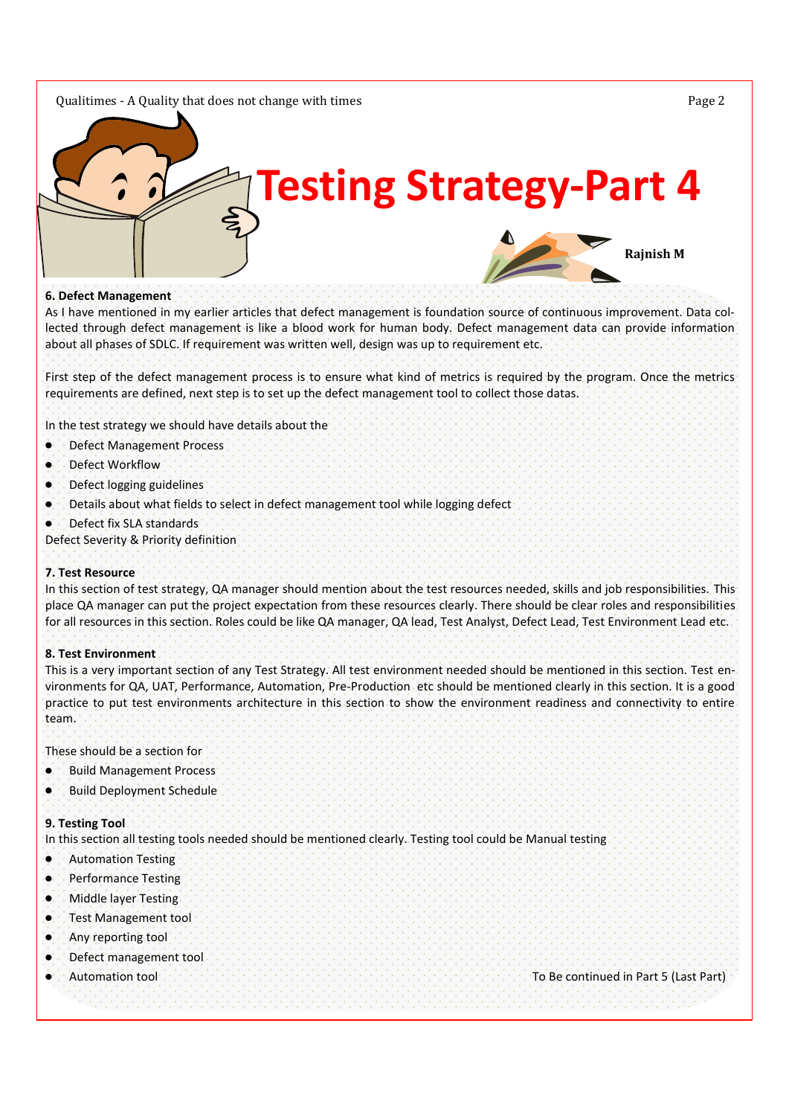### Qualitimes - A Quality that does not change with times Page 2



### **6. Defect Management**

As I have mentioned in my earlier articles that defect management is foundation source of continuous improvement. Data collected through defect management is like a blood work for human body. Defect management data can provide information about all phases of SDLC. If requirement was written well, design was up to requirement etc.

First step of the defect management process is to ensure what kind of metrics is required by the program. Once the metrics requirements are defined, next step is to set up the defect management tool to collect those datas.

In the test strategy we should have details about the

- $\bullet$ Defect Management Process
- Defect Workflow
- Defect logging guidelines
- Details about what fields to select in defect management tool while logging defect
- Defect fix SLA standards

Defect Severity & Priority definition

### **7. Test Resource**

In this section of test strategy, QA manager should mention about the test resources needed, skills and job responsibilities. This place QA manager can put the project expectation from these resources clearly. There should be clear roles and responsibilities for all resources in this section. Roles could be like QA manager, QA lead, Test Analyst, Defect Lead, Test Environment Lead etc.

### **8. Test Environment**

This is a very important section of any Test Strategy. All test environment needed should be mentioned in this section. Test environments for QA, UAT, Performance, Automation, Pre-Production etc should be mentioned clearly in this section. It is a good practice to put test environments architecture in this section to show the environment readiness and connectivity to entire team.

These should be a section for

- Build Management Process
- Build Deployment Schedule

### **9. Testing Tool**

In this section all testing tools needed should be mentioned clearly. Testing tool could be Manual testing

- $\bullet$ Automation Testing
- Performance Testing
- Middle layer Testing
- Test Management tool ٠è
- Any reporting tool
- Defect management tool
- 

Automation tool To Be continued in Part 5 (Last Part)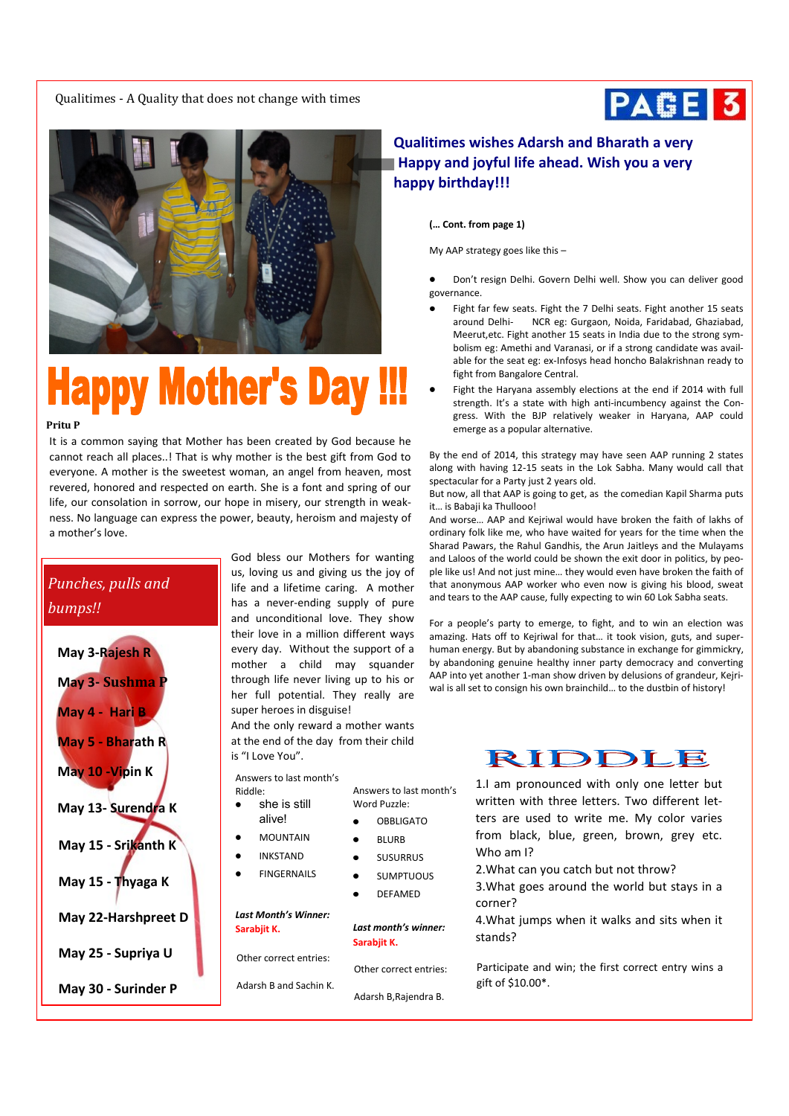Qualitimes - A Quality that does not change with times





# **Happy Mother's Day**

### **Pritu P**

It is a common saying that Mother has been created by God because he cannot reach all places..! That is why mother is the best gift from God to everyone. A mother is the sweetest woman, an angel from heaven, most revered, honored and respected on earth. She is a font and spring of our life, our consolation in sorrow, our hope in misery, our strength in weakness. No language can express the power, beauty, heroism and majesty of a mother's love.

## *Punches, pulls and bumps!!*

| May 3-Rajesh R      |
|---------------------|
| May 3- Sushma P     |
| May 4 - Hari B      |
| May 5 - Bharath R   |
| May 10 - Vipin K    |
| May 13- Surendra K  |
| May 15 - Srikanth K |
| May 15 - Thyaga K   |
| May 22-Harshpreet D |
| May 25 - Supriya U  |
| May 30 - Surinder P |

God bless our Mothers for wanting us, loving us and giving us the joy of life and a lifetime caring. A mother has a never-ending supply of pure and unconditional love. They show their love in a million different ways every day. Without the support of a mother a child may squander through life never living up to his or her full potential. They really are super heroes in disguise!

And the only reward a mother wants at the end of the day from their child is "I Love You".

*Last month's winner:*

Other correct entries:

Adarsh B,Rajendra B.

Answers to last month's

**OBBLIGATO** BLURB SUSURRUS SUMPTUOUS DEFAMED

Word Puzzle:

**Sarabjit K.**

Answers to last month's

- Riddle: she is still
	- alive!
	- MOUNTAIN
	- INKSTAND
	- FINGERNAILS

*Last Month's Winner:* **Sarabjit K.**

Other correct entries:

- 
- Adarsh B and Sachin K.

## **Qualitimes wishes Adarsh and Bharath a very Happy and joyful life ahead. Wish you a very happy birthday!!!**

**(… Cont. from page 1)**

My AAP strategy goes like this –

Don't resign Delhi. Govern Delhi well. Show you can deliver good governance.

- Fight far few seats. Fight the 7 Delhi seats. Fight another 15 seats around Delhi- NCR eg: Gurgaon, Noida, Faridabad, Ghaziabad, Meerut,etc. Fight another 15 seats in India due to the strong symbolism eg: Amethi and Varanasi, or if a strong candidate was available for the seat eg: ex-Infosys head honcho Balakrishnan ready to fight from Bangalore Central.
- Fight the Haryana assembly elections at the end if 2014 with full strength. It's a state with high anti-incumbency against the Congress. With the BJP relatively weaker in Haryana, AAP could emerge as a popular alternative.

By the end of 2014, this strategy may have seen AAP running 2 states along with having 12-15 seats in the Lok Sabha. Many would call that spectacular for a Party just 2 years old.

But now, all that AAP is going to get, as the comedian Kapil Sharma puts it... is Babaii ka Thullooo!

And worse… AAP and Kejriwal would have broken the faith of lakhs of ordinary folk like me, who have waited for years for the time when the Sharad Pawars, the Rahul Gandhis, the Arun Jaitleys and the Mulayams and Laloos of the world could be shown the exit door in politics, by people like us! And not just mine… they would even have broken the faith of that anonymous AAP worker who even now is giving his blood, sweat and tears to the AAP cause, fully expecting to win 60 Lok Sabha seats.

For a people's party to emerge, to fight, and to win an election was amazing. Hats off to Kejriwal for that… it took vision, guts, and superhuman energy. But by abandoning substance in exchange for gimmickry, by abandoning genuine healthy inner party democracy and converting AAP into yet another 1-man show driven by delusions of grandeur, Kejriwal is all set to consign his own brainchild… to the dustbin of history!



1.I am pronounced with only one letter but written with three letters. Two different letters are used to write me. My color varies from black, blue, green, brown, grey etc. Who am I?

2.What can you catch but not throw?

3.What goes around the world but stays in a corner?

4.What jumps when it walks and sits when it stands?

Participate and win; the first correct entry wins a gift of \$10.00\*.